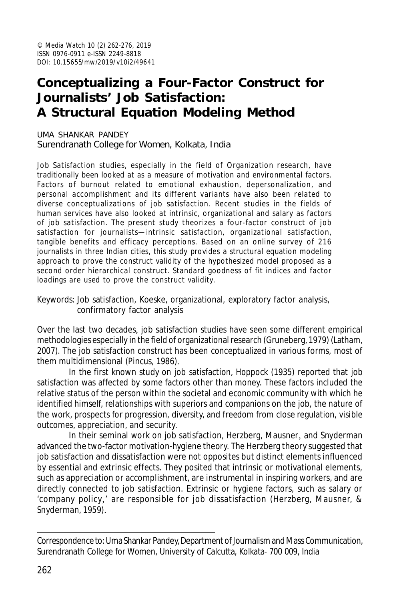# **Conceptualizing a Four-Factor Construct for Journalists' Job Satisfaction: A Structural Equation Modeling Method**

UMA SHANKAR PANDEY Surendranath College for Women, Kolkata, India

Job Satisfaction studies, especially in the field of Organization research, have traditionally been looked at as a measure of motivation and environmental factors. Factors of burnout related to emotional exhaustion, depersonalization, and personal accomplishment and its different variants have also been related to diverse conceptualizations of job satisfaction. Recent studies in the fields of human services have also looked at intrinsic, organizational and salary as factors of job satisfaction. The present study theorizes a four-factor construct of job satisfaction for journalists—intrinsic satisfaction, organizational satisfaction, tangible benefits and efficacy perceptions. Based on an online survey of 216 journalists in three Indian cities, this study provides a structural equation modeling approach to prove the construct validity of the hypothesized model proposed as a second order hierarchical construct. Standard goodness of fit indices and factor loadings are used to prove the construct validity.

Keywords: Job satisfaction, Koeske, organizational, exploratory factor analysis, confirmatory factor analysis

Over the last two decades, job satisfaction studies have seen some different empirical methodologies especially in the field of organizational research (Gruneberg, 1979) (Latham, 2007). The job satisfaction construct has been conceptualized in various forms, most of them multidimensional (Pincus, 1986).

In the first known study on job satisfaction, Hoppock (1935) reported that job satisfaction was affected by some factors other than money. These factors included the relative status of the person within the societal and economic community with which he identified himself, relationships with superiors and companions on the job, the nature of the work, prospects for progression, diversity, and freedom from close regulation, visible outcomes, appreciation, and security.

In their seminal work on job satisfaction, Herzberg, Mausner, and Snyderman advanced the two-factor motivation-hygiene theory. The Herzberg theory suggested that job satisfaction and dissatisfaction were not opposites but distinct elements influenced by essential and extrinsic effects. They posited that intrinsic or motivational elements, such as appreciation or accomplishment, are instrumental in inspiring workers, and are directly connected to job satisfaction. Extrinsic or hygiene factors, such as salary or 'company policy,' are responsible for job dissatisfaction (Herzberg, Mausner, & Snyderman, 1959).

Correspondence to: Uma Shankar Pandey, Department of Journalism and Mass Communication, Surendranath College for Women, University of Calcutta, Kolkata- 700 009, India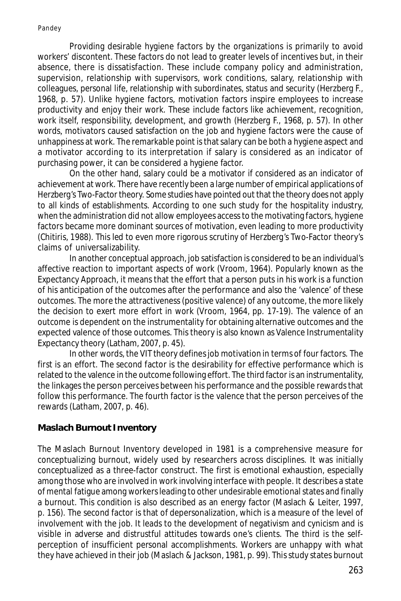Providing desirable hygiene factors by the organizations is primarily to avoid workers' discontent. These factors do not lead to greater levels of incentives but, in their absence, there is dissatisfaction. These include company policy and administration, supervision, relationship with supervisors, work conditions, salary, relationship with colleagues, personal life, relationship with subordinates, status and security (Herzberg F., 1968, p. 57). Unlike hygiene factors, motivation factors inspire employees to increase productivity and enjoy their work. These include factors like achievement, recognition, work itself, responsibility, development, and growth (Herzberg F., 1968, p. 57). In other words, motivators caused satisfaction on the job and hygiene factors were the cause of unhappiness at work. The remarkable point is that salary can be both a hygiene aspect and a motivator according to its interpretation if salary is considered as an indicator of purchasing power, it can be considered a hygiene factor.

On the other hand, salary could be a motivator if considered as an indicator of achievement at work. There have recently been a large number of empirical applications of Herzberg's Two-Factor theory. Some studies have pointed out that the theory does not apply to all kinds of establishments. According to one such study for the hospitality industry, when the administration did not allow employees access to the motivating factors, hygiene factors became more dominant sources of motivation, even leading to more productivity (Chitiris, 1988). This led to even more rigorous scrutiny of Herzberg's Two-Factor theory's claims of universalizability.

In another conceptual approach, job satisfaction is considered to be an individual's affective reaction to important aspects of work (Vroom, 1964). Popularly known as the Expectancy Approach, it means that the effort that a person puts in his work is a function of his anticipation of the outcomes after the performance and also the 'valence' of these outcomes. The more the attractiveness (positive valence) of any outcome, the more likely the decision to exert more effort in work (Vroom, 1964, pp. 17-19). The valence of an outcome is dependent on the instrumentality for obtaining alternative outcomes and the expected valence of those outcomes. This theory is also known as Valence Instrumentality Expectancy theory (Latham, 2007, p. 45).

In other words, the VIT theory defines job motivation in terms of four factors. The first is an effort. The second factor is the desirability for effective performance which is related to the valence in the outcome following effort. The third factor is an instrumentality, the linkages the person perceives between his performance and the possible rewards that follow this performance. The fourth factor is the valence that the person perceives of the rewards (Latham, 2007, p. 46).

## **Maslach Burnout Inventory**

The Maslach Burnout Inventory developed in 1981 is a comprehensive measure for conceptualizing burnout, widely used by researchers across disciplines. It was initially conceptualized as a three-factor construct. The first is emotional exhaustion, especially among those who are involved in work involving interface with people. It describes a state of mental fatigue among workers leading to other undesirable emotional states and finally a burnout. This condition is also described as an energy factor (Maslach & Leiter, 1997, p. 156). The second factor is that of depersonalization, which is a measure of the level of involvement with the job. It leads to the development of negativism and cynicism and is visible in adverse and distrustful attitudes towards one's clients. The third is the selfperception of insufficient personal accomplishments. Workers are unhappy with what they have achieved in their job (Maslach & Jackson, 1981, p. 99). This study states burnout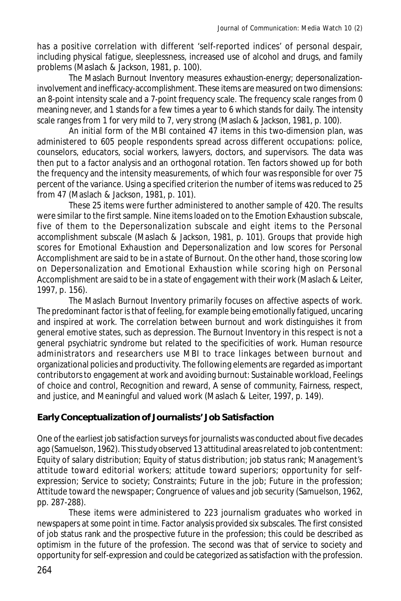has a positive correlation with different 'self-reported indices' of personal despair, including physical fatigue, sleeplessness, increased use of alcohol and drugs, and family problems (Maslach & Jackson, 1981, p. 100).

The Maslach Burnout Inventory measures exhaustion-energy; depersonalizationinvolvement and inefficacy-accomplishment. These items are measured on two dimensions: an 8-point intensity scale and a 7-point frequency scale. The frequency scale ranges from 0 meaning never, and 1 stands for a few times a year to 6 which stands for daily. The intensity scale ranges from 1 for very mild to 7, very strong (Maslach & Jackson, 1981, p. 100).

An initial form of the MBI contained 47 items in this two-dimension plan, was administered to 605 people respondents spread across different occupations: police, counselors, educators, social workers, lawyers, doctors, and supervisors. The data was then put to a factor analysis and an orthogonal rotation. Ten factors showed up for both the frequency and the intensity measurements, of which four was responsible for over 75 percent of the variance. Using a specified criterion the number of items was reduced to 25 from 47 (Maslach & Jackson, 1981, p. 101).

These 25 items were further administered to another sample of 420. The results were similar to the first sample. Nine items loaded on to the Emotion Exhaustion subscale, five of them to the Depersonalization subscale and eight items to the Personal accomplishment subscale (Maslach & Jackson, 1981, p. 101). Groups that provide high scores for Emotional Exhaustion and Depersonalization and low scores for Personal Accomplishment are said to be in a state of Burnout. On the other hand, those scoring low on Depersonalization and Emotional Exhaustion while scoring high on Personal Accomplishment are said to be in a state of engagement with their work (Maslach & Leiter, 1997, p. 156).

The Maslach Burnout Inventory primarily focuses on affective aspects of work. The predominant factor is that of feeling, for example being emotionally fatigued, uncaring and inspired at work. The correlation between burnout and work distinguishes it from general emotive states, such as depression. The Burnout Inventory in this respect is not a general psychiatric syndrome but related to the specificities of work. Human resource administrators and researchers use MBI to trace linkages between burnout and organizational policies and productivity. The following elements are regarded as important contributors to engagement at work and avoiding burnout: Sustainable workload, Feelings of choice and control, Recognition and reward, A sense of community, Fairness, respect, and justice, and Meaningful and valued work (Maslach & Leiter, 1997, p. 149).

## **Early Conceptualization of Journalists' Job Satisfaction**

One of the earliest job satisfaction surveys for journalists was conducted about five decades ago (Samuelson, 1962). This study observed 13 attitudinal areas related to job contentment: Equity of salary distribution; Equity of status distribution; job status rank; Management's attitude toward editorial workers; attitude toward superiors; opportunity for selfexpression; Service to society; Constraints; Future in the job; Future in the profession; Attitude toward the newspaper; Congruence of values and job security (Samuelson, 1962, pp. 287-288).

These items were administered to 223 journalism graduates who worked in newspapers at some point in time. Factor analysis provided six subscales. The first consisted of job status rank and the prospective future in the profession; this could be described as optimism in the future of the profession. The second was that of service to society and opportunity for self-expression and could be categorized as satisfaction with the profession.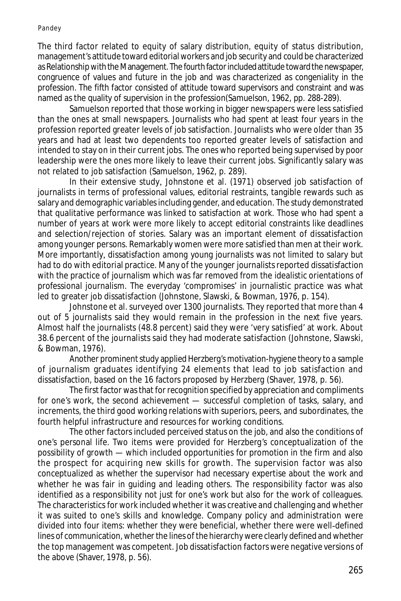Pandey

The third factor related to equity of salary distribution, equity of status distribution, management's attitude toward editorial workers and job security and could be characterized as Relationship with the Management. The fourth factor included attitude toward the newspaper, congruence of values and future in the job and was characterized as congeniality in the profession. The fifth factor consisted of attitude toward supervisors and constraint and was named as the quality of supervision in the profession(Samuelson, 1962, pp. 288-289).

Samuelson reported that those working in bigger newspapers were less satisfied than the ones at small newspapers. Journalists who had spent at least four years in the profession reported greater levels of job satisfaction. Journalists who were older than 35 years and had at least two dependents too reported greater levels of satisfaction and intended to stay on in their current jobs. The ones who reported being supervised by poor leadership were the ones more likely to leave their current jobs. Significantly salary was not related to job satisfaction (Samuelson, 1962, p. 289).

In their extensive study, Johnstone et al. (1971) observed job satisfaction of journalists in terms of professional values, editorial restraints, tangible rewards such as salary and demographic variables including gender, and education. The study demonstrated that qualitative performance was linked to satisfaction at work. Those who had spent a number of years at work were more likely to accept editorial constraints like deadlines and selection/rejection of stories. Salary was an important element of dissatisfaction among younger persons. Remarkably women were more satisfied than men at their work. More importantly, dissatisfaction among young journalists was not limited to salary but had to do with editorial practice. Many of the younger journalists reported dissatisfaction with the practice of journalism which was far removed from the idealistic orientations of professional journalism. The everyday 'compromises' in journalistic practice was what led to greater job dissatisfaction (Johnstone, Slawski, & Bowman, 1976, p. 154).

Johnstone et al. surveyed over 1300 journalists. They reported that more than 4 out of 5 journalists said they would remain in the profession in the next five years. Almost half the journalists (48.8 percent) said they were 'very satisfied' at work. About 38.6 percent of the journalists said they had moderate satisfaction (Johnstone, Slawski, & Bowman, 1976).

Another prominent study applied Herzberg's motivation-hygiene theory to a sample of journalism graduates identifying 24 elements that lead to job satisfaction and dissatisfaction, based on the 16 factors proposed by Herzberg (Shaver, 1978, p. 56).

The first factor was that for recognition specified by appreciation and compliments for one's work, the second achievement — successful completion of tasks, salary, and increments, the third good working relations with superiors, peers, and subordinates, the fourth helpful infrastructure and resources for working conditions.

The other factors included perceived status on the job, and also the conditions of one's personal life. Two items were provided for Herzberg's conceptualization of the possibility of growth — which included opportunities for promotion in the firm and also the prospect for acquiring new skills for growth. The supervision factor was also conceptualized as whether the supervisor had necessary expertise about the work and whether he was fair in guiding and leading others. The responsibility factor was also identified as a responsibility not just for one's work but also for the work of colleagues. The characteristics for work included whether it was creative and challenging and whether it was suited to one's skills and knowledge. Company policy and administration were divided into four items: whether they were beneficial, whether there were well-defined lines of communication, whether the lines of the hierarchy were clearly defined and whether the top management was competent. Job dissatisfaction factors were negative versions of the above (Shaver, 1978, p. 56).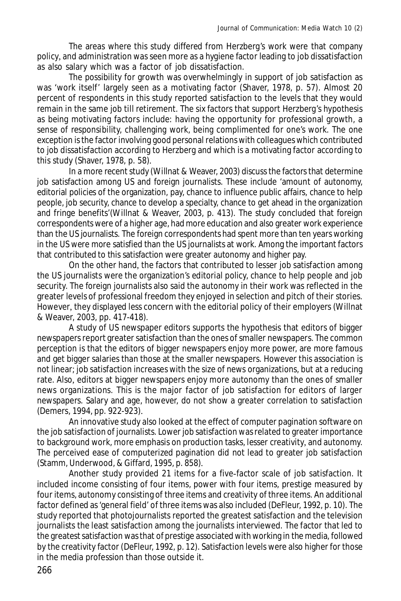The areas where this study differed from Herzberg's work were that company policy, and administration was seen more as a hygiene factor leading to job dissatisfaction as also salary which was a factor of job dissatisfaction.

The possibility for growth was overwhelmingly in support of job satisfaction as was 'work itself' largely seen as a motivating factor (Shaver, 1978, p. 57). Almost 20 percent of respondents in this study reported satisfaction to the levels that they would remain in the same job till retirement. The six factors that support Herzberg's hypothesis as being motivating factors include: having the opportunity for professional growth, a sense of responsibility, challenging work, being complimented for one's work. The one exception is the factor involving good personal relations with colleagues which contributed to job dissatisfaction according to Herzberg and which is a motivating factor according to this study (Shaver, 1978, p. 58).

In a more recent study (Willnat & Weaver, 2003) discuss the factors that determine job satisfaction among US and foreign journalists. These include 'amount of autonomy, editorial policies of the organization, pay, chance to influence public affairs, chance to help people, job security, chance to develop a specialty, chance to get ahead in the organization and fringe benefits'(Willnat & Weaver, 2003, p. 413). The study concluded that foreign correspondents were of a higher age, had more education and also greater work experience than the US journalists. The foreign correspondents had spent more than ten years working in the US were more satisfied than the US journalists at work. Among the important factors that contributed to this satisfaction were greater autonomy and higher pay.

On the other hand, the factors that contributed to lesser job satisfaction among the US journalists were the organization's editorial policy, chance to help people and job security. The foreign journalists also said the autonomy in their work was reflected in the greater levels of professional freedom they enjoyed in selection and pitch of their stories. However, they displayed less concern with the editorial policy of their employers (Willnat & Weaver, 2003, pp. 417-418).

A study of US newspaper editors supports the hypothesis that editors of bigger newspapers report greater satisfaction than the ones of smaller newspapers. The common perception is that the editors of bigger newspapers enjoy more power, are more famous and get bigger salaries than those at the smaller newspapers. However this association is not linear; job satisfaction increases with the size of news organizations, but at a reducing rate. Also, editors at bigger newspapers enjoy more autonomy than the ones of smaller news organizations. This is the major factor of job satisfaction for editors of larger newspapers. Salary and age, however, do not show a greater correlation to satisfaction (Demers, 1994, pp. 922-923).

An innovative study also looked at the effect of computer pagination software on the job satisfaction of journalists. Lower job satisfaction was related to greater importance to background work, more emphasis on production tasks, lesser creativity, and autonomy. The perceived ease of computerized pagination did not lead to greater job satisfaction (Stamm, Underwood, & Giffard, 1995, p. 858).

Another study provided 21 items for a five-factor scale of job satisfaction. It included income consisting of four items, power with four items, prestige measured by four items, autonomy consisting of three items and creativity of three items. An additional factor defined as 'general field' of three items was also included (DeFleur, 1992, p. 10). The study reported that photojournalists reported the greatest satisfaction and the television journalists the least satisfaction among the journalists interviewed. The factor that led to the greatest satisfaction was that of prestige associated with working in the media, followed by the creativity factor (DeFleur, 1992, p. 12). Satisfaction levels were also higher for those in the media profession than those outside it.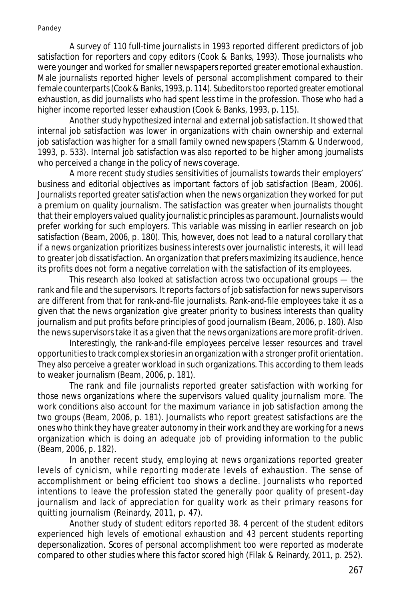A survey of 110 full-time journalists in 1993 reported different predictors of job satisfaction for reporters and copy editors (Cook & Banks, 1993). Those journalists who were younger and worked for smaller newspapers reported greater emotional exhaustion. Male journalists reported higher levels of personal accomplishment compared to their female counterparts (Cook & Banks, 1993, p. 114). Subeditors too reported greater emotional exhaustion, as did journalists who had spent less time in the profession. Those who had a higher income reported lesser exhaustion (Cook & Banks, 1993, p. 115).

Another study hypothesized internal and external job satisfaction. It showed that internal job satisfaction was lower in organizations with chain ownership and external job satisfaction was higher for a small family owned newspapers (Stamm & Underwood, 1993, p. 533). Internal job satisfaction was also reported to be higher among journalists who perceived a change in the policy of news coverage.

A more recent study studies sensitivities of journalists towards their employers' business and editorial objectives as important factors of job satisfaction (Beam, 2006). Journalists reported greater satisfaction when the news organization they worked for put a premium on quality journalism. The satisfaction was greater when journalists thought that their employers valued quality journalistic principles as paramount. Journalists would prefer working for such employers. This variable was missing in earlier research on job satisfaction (Beam, 2006, p. 180). This, however, does not lead to a natural corollary that if a news organization prioritizes business interests over journalistic interests, it will lead to greater job dissatisfaction. An organization that prefers maximizing its audience, hence its profits does not form a negative correlation with the satisfaction of its employees.

This research also looked at satisfaction across two occupational groups — the rank and file and the supervisors. It reports factors of job satisfaction for news supervisors are different from that for rank-and-file journalists. Rank-and-file employees take it as a given that the news organization give greater priority to business interests than quality journalism and put profits before principles of good journalism (Beam, 2006, p. 180). Also the news supervisors take it as a given that the news organizations are more profit-driven.

Interestingly, the rank-and-file employees perceive lesser resources and travel opportunities to track complex stories in an organization with a stronger profit orientation. They also perceive a greater workload in such organizations. This according to them leads to weaker journalism (Beam, 2006, p. 181).

The rank and file journalists reported greater satisfaction with working for those news organizations where the supervisors valued quality journalism more. The work conditions also account for the maximum variance in job satisfaction among the two groups (Beam, 2006, p. 181). Journalists who report greatest satisfactions are the ones who think they have greater autonomy in their work and they are working for a news organization which is doing an adequate job of providing information to the public (Beam, 2006, p. 182).

In another recent study, employing at news organizations reported greater levels of cynicism, while reporting moderate levels of exhaustion. The sense of accomplishment or being efficient too shows a decline. Journalists who reported intentions to leave the profession stated the generally poor quality of present-day journalism and lack of appreciation for quality work as their primary reasons for quitting journalism (Reinardy, 2011, p. 47).

Another study of student editors reported 38. 4 percent of the student editors experienced high levels of emotional exhaustion and 43 percent students reporting depersonalization. Scores of personal accomplishment too were reported as moderate compared to other studies where this factor scored high (Filak & Reinardy, 2011, p. 252).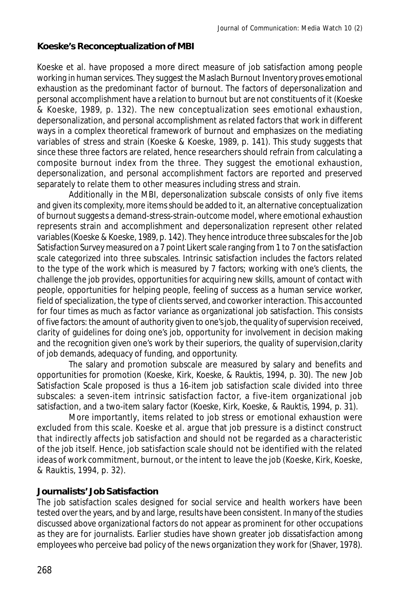#### **Koeske's Reconceptualization of MBI**

Koeske et al. have proposed a more direct measure of job satisfaction among people working in human services. They suggest the Maslach Burnout Inventory proves emotional exhaustion as the predominant factor of burnout. The factors of depersonalization and personal accomplishment have a relation to burnout but are not constituents of it (Koeske & Koeske, 1989, p. 132). The new conceptualization sees emotional exhaustion, depersonalization, and personal accomplishment as related factors that work in different ways in a complex theoretical framework of burnout and emphasizes on the mediating variables of stress and strain (Koeske & Koeske, 1989, p. 141). This study suggests that since these three factors are related, hence researchers should refrain from calculating a composite burnout index from the three. They suggest the emotional exhaustion, depersonalization, and personal accomplishment factors are reported and preserved separately to relate them to other measures including stress and strain.

Additionally in the MBI, depersonalization subscale consists of only five items and given its complexity, more items should be added to it, an alternative conceptualization of burnout suggests a demand-stress-strain-outcome model, where emotional exhaustion represents strain and accomplishment and depersonalization represent other related variables (Koeske & Koeske, 1989, p. 142). They hence introduce three subscales for the Job Satisfaction Survey measured on a 7 point Likert scale ranging from 1 to 7 on the satisfaction scale categorized into three subscales. Intrinsic satisfaction includes the factors related to the type of the work which is measured by 7 factors; working with one's clients, the challenge the job provides, opportunities for acquiring new skills, amount of contact with people, opportunities for helping people, feeling of success as a human service worker, field of specialization, the type of clients served, and coworker interaction. This accounted for four times as much as factor variance as organizational job satisfaction. This consists of five factors: the amount of authority given to one's job, the quality of supervision received, clarity of guidelines for doing one's job, opportunity for involvement in decision making and the recognition given one's work by their superiors, the quality of supervision,clarity of job demands, adequacy of funding, and opportunity.

The salary and promotion subscale are measured by salary and benefits and opportunities for promotion (Koeske, Kirk, Koeske, & Rauktis, 1994, p. 30). The new Job Satisfaction Scale proposed is thus a 16-item job satisfaction scale divided into three subscales: a seven-item intrinsic satisfaction factor, a five-item organizational job satisfaction, and a two-item salary factor (Koeske, Kirk, Koeske, & Rauktis, 1994, p. 31).

More importantly, items related to job stress or emotional exhaustion were excluded from this scale. Koeske et al. argue that job pressure is a distinct construct that indirectly affects job satisfaction and should not be regarded as a characteristic of the job itself. Hence, job satisfaction scale should not be identified with the related ideas of work commitment, burnout, or the intent to leave the job (Koeske, Kirk, Koeske, & Rauktis, 1994, p. 32).

#### **Journalists' Job Satisfaction**

The job satisfaction scales designed for social service and health workers have been tested over the years, and by and large, results have been consistent. In many of the studies discussed above organizational factors do not appear as prominent for other occupations as they are for journalists. Earlier studies have shown greater job dissatisfaction among employees who perceive bad policy of the news organization they work for (Shaver, 1978).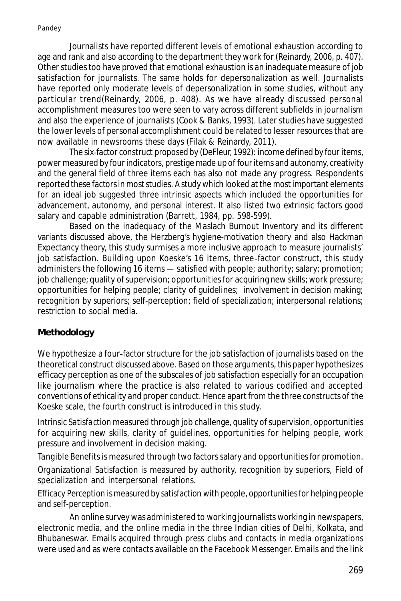Journalists have reported different levels of emotional exhaustion according to age and rank and also according to the department they work for (Reinardy, 2006, p. 407). Other studies too have proved that emotional exhaustion is an inadequate measure of job satisfaction for journalists. The same holds for depersonalization as well. Journalists have reported only moderate levels of depersonalization in some studies, without any particular trend(Reinardy, 2006, p. 408). As we have already discussed personal accomplishment measures too were seen to vary across different subfields in journalism and also the experience of journalists (Cook & Banks, 1993). Later studies have suggested the lower levels of personal accomplishment could be related to lesser resources that are now available in newsrooms these days (Filak & Reinardy, 2011).

The six-factor construct proposed by (DeFleur, 1992): income defined by four items, power measured by four indicators, prestige made up of four items and autonomy, creativity and the general field of three items each has also not made any progress. Respondents reported these factors in most studies. A study which looked at the most important elements for an ideal job suggested three intrinsic aspects which included the opportunities for advancement, autonomy, and personal interest. It also listed two extrinsic factors good salary and capable administration (Barrett, 1984, pp. 598-599).

Based on the inadequacy of the Maslach Burnout Inventory and its different variants discussed above, the Herzberg's hygiene-motivation theory and also Hackman Expectancy theory, this study surmises a more inclusive approach to measure journalists' job satisfaction. Building upon Koeske's 16 items, three-factor construct, this study administers the following 16 items — satisfied with people; authority; salary; promotion; job challenge; quality of supervision; opportunities for acquiring new skills; work pressure; opportunities for helping people; clarity of guidelines; involvement in decision making; recognition by superiors; self-perception; field of specialization; interpersonal relations; restriction to social media.

### **Methodology**

We hypothesize a four-factor structure for the job satisfaction of journalists based on the theoretical construct discussed above. Based on those arguments, this paper hypothesizes efficacy perception as one of the subscales of job satisfaction especially for an occupation like journalism where the practice is also related to various codified and accepted conventions of ethicality and proper conduct. Hence apart from the three constructs of the Koeske scale, the fourth construct is introduced in this study.

*Intrinsic Satisfaction* measured through job challenge, quality of supervision, opportunities for acquiring new skills, clarity of guidelines, opportunities for helping people, work pressure and involvement in decision making.

*Tangible Benefits* is measured through two factors salary and opportunities for promotion.

*Organizational Satisfaction* is measured by authority, recognition by superiors, Field of specialization and interpersonal relations.

*Efficacy Perception* is measured by satisfaction with people, opportunities for helping people and self-perception.

An online survey was administered to working journalists working in newspapers, electronic media, and the online media in the three Indian cities of Delhi, Kolkata, and Bhubaneswar. Emails acquired through press clubs and contacts in media organizations were used and as were contacts available on the Facebook Messenger. Emails and the link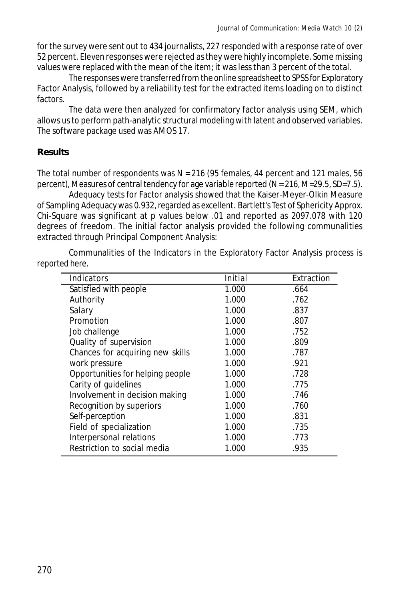for the survey were sent out to 434 journalists, 227 responded with a response rate of over 52 percent. Eleven responses were rejected as they were highly incomplete. Some missing values were replaced with the mean of the item; it was less than 3 percent of the total.

The responses were transferred from the online spreadsheet to SPSS for Exploratory Factor Analysis, followed by a reliability test for the extracted items loading on to distinct factors.

The data were then analyzed for confirmatory factor analysis using SEM, which allows us to perform path-analytic structural modeling with latent and observed variables. The software package used was AMOS 17.

### **Results**

The total number of respondents was  $N = 216$  (95 females, 44 percent and 121 males, 56 percent), Measures of central tendency for age variable reported (N = 216, M=29.5, SD=7.5).

Adequacy tests for Factor analysis showed that the Kaiser-Meyer-Olkin Measure of Sampling Adequacy was 0.932, regarded as excellent. Bartlett's Test of Sphericity Approx. Chi-Square was significant at p values below .01 and reported as 2097.078 with 120 degrees of freedom. The initial factor analysis provided the following communalities extracted through Principal Component Analysis:

Communalities of the Indicators in the Exploratory Factor Analysis process is reported here.

| Indicators                       | Initial | Extraction |
|----------------------------------|---------|------------|
| Satisfied with people            | 1.000   | .664       |
| Authority                        | 1.000   | .762       |
| Salary                           | 1.000   | .837       |
| Promotion                        | 1.000   | .807       |
| Job challenge                    | 1.000   | .752       |
| Quality of supervision           | 1.000   | .809       |
| Chances for acquiring new skills | 1.000   | .787       |
| work pressure                    | 1.000   | .921       |
| Opportunities for helping people | 1.000   | .728       |
| Carity of guidelines             | 1.000   | .775       |
| Involvement in decision making   | 1.000   | .746       |
| Recognition by superiors         | 1.000   | .760       |
| Self-perception                  | 1.000   | .831       |
| Field of specialization          | 1.000   | .735       |
| Interpersonal relations          | 1.000   | .773       |
| Restriction to social media      | 1.000   | .935       |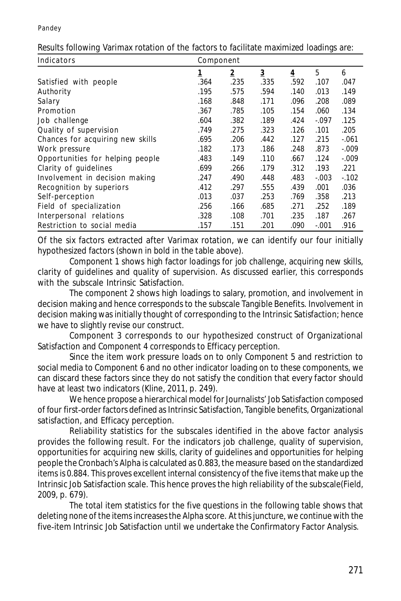| Indicators                       | Component |                |                         |                |         |          |  |
|----------------------------------|-----------|----------------|-------------------------|----------------|---------|----------|--|
|                                  | <u>1</u>  | $\overline{2}$ | $\overline{\mathbf{3}}$ | $\overline{4}$ | 5       | 6        |  |
| Satisfied with people            | .364      | .235           | .335                    | .592           | .107    | .047     |  |
| Authority                        | .195      | .575           | .594                    | .140           | .013    | .149     |  |
| Salary                           | .168      | .848           | .171                    | .096           | .208    | .089     |  |
| Promotion                        | .367      | .785           | .105                    | .154           | .060    | .134     |  |
| Job challenge                    | .604      | .382           | .189                    | .424           | $-.097$ | .125     |  |
| Quality of supervision           | .749      | .275           | .323                    | .126           | .101    | .205     |  |
| Chances for acquiring new skills | .695      | .206           | .442                    | .127           | .215    | $-.061$  |  |
| Work pressure                    | .182      | .173           | .186                    | .248           | .873    | $-0.009$ |  |
| Opportunities for helping people | .483      | .149           | .110                    | .667           | .124    | $-.009$  |  |
| Clarity of guidelines            | .699      | .266           | .179                    | .312           | .193    | .221     |  |
| Involvement in decision making   | .247      | .490           | .448                    | .483           | $-.003$ | $-102$   |  |
| Recognition by superiors         | .412      | .297           | .555                    | .439           | .001    | .036     |  |
| Self-perception                  | .013      | .037           | .253                    | .769           | .358    | .213     |  |
| Field of specialization          | .256      | .166           | .685                    | .271           | .252    | .189     |  |
| Interpersonal relations          | .328      | .108           | .701                    | .235           | .187    | .267     |  |
| Restriction to social media      | .157      | .151           | .201                    | .090           | $-.001$ | .916     |  |

Results following Varimax rotation of the factors to facilitate maximized loadings are:

Of the six factors extracted after Varimax rotation, we can identify our four initially hypothesized factors (shown in bold in the table above).

Component 1 shows high factor loadings for job challenge, acquiring new skills, clarity of guidelines and quality of supervision. As discussed earlier, this corresponds with the subscale Intrinsic Satisfaction.

The component 2 shows high loadings to salary, promotion, and involvement in decision making and hence corresponds to the subscale Tangible Benefits. Involvement in decision making was initially thought of corresponding to the Intrinsic Satisfaction; hence we have to slightly revise our construct.

Component 3 corresponds to our hypothesized construct of Organizational Satisfaction and Component 4 corresponds to Efficacy perception.

Since the item work pressure loads on to only Component 5 and restriction to social media to Component 6 and no other indicator loading on to these components, we can discard these factors since they do not satisfy the condition that every factor should have at least two indicators (Kline, 2011, p. 249).

We hence propose a hierarchical model for Journalists' Job Satisfaction composed of four first-order factors defined as Intrinsic Satisfaction, Tangible benefits, Organizational satisfaction, and Efficacy perception.

Reliability statistics for the subscales identified in the above factor analysis provides the following result. For the indicators job challenge, quality of supervision, opportunities for acquiring new skills, clarity of guidelines and opportunities for helping people the Cronbach's Alpha is calculated as 0.883, the measure based on the standardized items is 0.884. This proves excellent internal consistency of the five items that make up the Intrinsic Job Satisfaction scale. This hence proves the high reliability of the subscale(Field, 2009, p. 679).

The total item statistics for the five questions in the following table shows that deleting none of the items increases the Alpha score. At this juncture, we continue with the five-item Intrinsic Job Satisfaction until we undertake the Confirmatory Factor Analysis.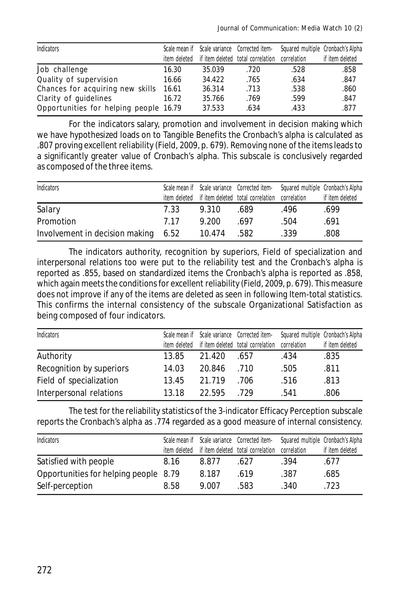| Indicators                             |              |        | Scale mean if Scale variance Corrected item- | Squared multiple Cronbach's Alpha |                 |
|----------------------------------------|--------------|--------|----------------------------------------------|-----------------------------------|-----------------|
|                                        | item deleted |        | if item deleted total correlation            | correlation                       | if item deleted |
| Job challenge                          | 16.30        | 35.039 | .720                                         | .528                              | .858            |
| Quality of supervision                 | 16.66        | 34.422 | .765                                         | .634                              | .847            |
| Chances for acquiring new skills       | 16.61        | 36.314 | .713                                         | .538                              | .860            |
| Clarity of quidelines                  | 16.72        | 35.766 | .769                                         | .599                              | .847            |
| Opportunities for helping people 16.79 |              | 37.533 | .634                                         | .433                              | .877            |

For the indicators salary, promotion and involvement in decision making which we have hypothesized loads on to Tangible Benefits the Cronbach's alpha is calculated as .807 proving excellent reliability (Field, 2009, p. 679). Removing none of the items leads to a significantly greater value of Cronbach's alpha. This subscale is conclusively regarded as composed of the three items.

| Indicators                     |      |        | Scale mean if Scale variance Corrected item-<br>Squared multiple Cronbach's Alpha |      |                 |
|--------------------------------|------|--------|-----------------------------------------------------------------------------------|------|-----------------|
|                                |      |        | item deleted if item deleted total correlation correlation                        |      | if item deleted |
| Salary                         | 7.33 | 9.310  | .689                                                                              | .496 | .699            |
| Promotion                      | 7 17 | 9.200  | 697                                                                               | .504 | .691            |
| Involvement in decision making | 6.52 | 10.474 | .582                                                                              | .339 | 808.            |

The indicators authority, recognition by superiors, Field of specialization and interpersonal relations too were put to the reliability test and the Cronbach's alpha is reported as .855, based on standardized items the Cronbach's alpha is reported as .858, which again meets the conditions for excellent reliability (Field, 2009, p. 679). This measure does not improve if any of the items are deleted as seen in following Item-total statistics. This confirms the internal consistency of the subscale Organizational Satisfaction as being composed of four indicators.

| Indicators               |       |        | Scale mean if Scale variance Corrected item-               | Squared multiple Cronbach's Alpha |                 |
|--------------------------|-------|--------|------------------------------------------------------------|-----------------------------------|-----------------|
|                          |       |        | item deleted if item deleted total correlation correlation |                                   | if item deleted |
| Authority                | 13.85 | 21.420 | .657                                                       | .434                              | .835            |
| Recognition by superiors | 14.03 | 20.846 | .710                                                       | .505                              | .811            |
| Field of specialization  | 13.45 | 21.719 | .706                                                       | .516                              | .813            |
| Interpersonal relations  | 13.18 | 22.595 | - 729                                                      | .541                              | .806            |

The test for the reliability statistics of the 3-indicator Efficacy Perception subscale reports the Cronbach's alpha as .774 regarded as a good measure of internal consistency.

| <b>Indicators</b>                     |              |       | Scale mean if Scale variance Corrected item- | Squared multiple Cronbach's Alpha |                 |
|---------------------------------------|--------------|-------|----------------------------------------------|-----------------------------------|-----------------|
|                                       | item deleted |       | if item deleted total correlation            | correlation                       | if item deleted |
| Satisfied with people                 | 8.16         | 8.877 | .627                                         | .394                              | .677            |
| Opportunities for helping people 8.79 |              | 8.187 | .619                                         | .387                              | .685            |
| Self-perception                       | 8.58         | 9.007 | .583                                         | .340                              | .723            |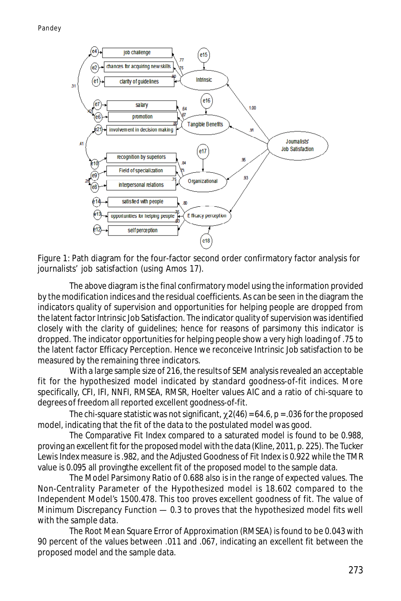

Figure 1: Path diagram for the four-factor second order confirmatory factor analysis for journalists' job satisfaction (using Amos 17).

The above diagram is the final confirmatory model using the information provided by the modification indices and the residual coefficients. As can be seen in the diagram the indicators quality of supervision and opportunities for helping people are dropped from the latent factor Intrinsic Job Satisfaction. The indicator quality of supervision was identified closely with the clarity of guidelines; hence for reasons of parsimony this indicator is dropped. The indicator opportunities for helping people show a very high loading of .75 to the latent factor Efficacy Perception. Hence we reconceive Intrinsic Job satisfaction to be measured by the remaining three indicators.

With a large sample size of 216, the results of SEM analysis revealed an acceptable fit for the hypothesized model indicated by standard goodness-of-fit indices. More specifically, CFI, IFI, NNFI, RMSEA, RMSR, Hoelter values AIC and a ratio of chi-square to degrees of freedom all reported excellent goodness-of-fit.

The chi-square statistic was not significant,  $\chi$  2(46) = 64.6, p = .036 for the proposed model, indicating that the fit of the data to the postulated model was good.

The Comparative Fit Index compared to a saturated model is found to be 0.988, proving an excellent fit for the proposed model with the data (Kline, 2011, p. 225). The Tucker Lewis Index measure is .982, and the Adjusted Goodness of Fit Index is 0.922 while the TMR value is 0.095 all provingthe excellent fit of the proposed model to the sample data.

The Model Parsimony Ratio of 0.688 also is in the range of expected values. The Non-Centrality Parameter of the Hypothesized model is 18.602 compared to the Independent Model's 1500.478. This too proves excellent goodness of fit. The value of Minimum Discrepancy Function — 0.3 to proves that the hypothesized model fits well with the sample data.

The Root Mean Square Error of Approximation (RMSEA) is found to be 0.043 with 90 percent of the values between .011 and .067, indicating an excellent fit between the proposed model and the sample data.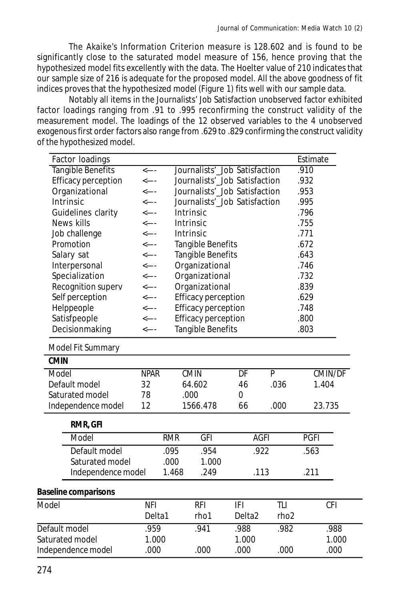The Akaike's Information Criterion measure is 128.602 and is found to be significantly close to the saturated model measure of 156, hence proving that the hypothesized model fits excellently with the data. The Hoelter value of 210 indicates that our sample size of 216 is adequate for the proposed model. All the above goodness of fit indices proves that the hypothesized model (Figure 1) fits well with our sample data.

Notably all items in the Journalists' Job Satisfaction unobserved factor exhibited factor loadings ranging from .91 to .995 reconfirming the construct validity of the measurement model. The loadings of the 12 observed variables to the 4 unobserved exogenous first order factors also range from .629 to .829 confirming the construct validity of the hypothesized model.

| Factor loadings             |              |            |                               |                    |                  | Estimate    |                |
|-----------------------------|--------------|------------|-------------------------------|--------------------|------------------|-------------|----------------|
| Tangible Benefits           | $\leftarrow$ |            | Journalists'_Job Satisfaction |                    |                  | .910        |                |
| Efficacy perception         | <---         |            | Journalists'_Job Satisfaction |                    |                  |             |                |
| Organizational              | <----        |            | Journalists'_Job Satisfaction | .953               |                  |             |                |
| Intrinsic                   | <----        |            | Journalists'_Job Satisfaction |                    |                  |             |                |
| Guidelines clarity          | $\leftarrow$ |            | Intrinsic                     |                    |                  | .796        |                |
| News kills                  | $\leftarrow$ |            | Intrinsic                     |                    |                  | .755        |                |
| Job challenge               | <----        |            | Intrinsic                     |                    |                  | .771        |                |
| Promotion                   | <----        |            | Tangible Benefits             |                    |                  | .672        |                |
| Salary sat                  | $\leftarrow$ |            | Tangible Benefits             |                    |                  | .643        |                |
| Interpersonal               | <---         |            | Organizational                |                    |                  | .746        |                |
| Specialization              | $\leftarrow$ |            | Organizational                |                    |                  | .732        |                |
| Recognition superv          | <----        |            | Organizational                |                    |                  | .839        |                |
| Self perception             | <----        |            | <b>Efficacy perception</b>    |                    |                  | .629        |                |
| Helppeople                  | <----        |            | Efficacy perception           |                    |                  | .748        |                |
| Satisfpeople                | <----        |            | Efficacy perception           |                    |                  | .800        |                |
| Decisionmaking              | $\leftarrow$ |            | Tangible Benefits             |                    |                  | .803        |                |
| Model Fit Summary           |              |            |                               |                    |                  |             |                |
| <b>CMIN</b>                 |              |            |                               |                    |                  |             |                |
| Model                       | <b>NPAR</b>  |            | <b>CMIN</b>                   | DF                 | P                |             | <b>CMIN/DF</b> |
| Default model               | 32           |            | 64.602                        | 46                 | .036             |             | 1.404          |
| Saturated model             | 78           |            | .000                          | 0                  |                  |             |                |
| Independence model          | 12           |            | 1566.478                      | 66                 | .000             | 23.735      |                |
| RMR, GFI                    |              |            |                               |                    |                  |             |                |
| Model                       |              | <b>RMR</b> | <b>GFI</b>                    | <b>AGFI</b>        |                  | <b>PGFI</b> |                |
| Default model               |              | .095       | .954                          | .922               |                  | .563        |                |
| Saturated model             |              | .000       | 1.000                         |                    |                  |             |                |
| Independence model          |              | 1.468      | .249                          | .113               |                  | .211        |                |
| <b>Baseline comparisons</b> |              |            |                               |                    |                  |             |                |
| Model                       | <b>NFI</b>   |            | <b>RFI</b>                    | IFI                | TLI              |             | <b>CFI</b>     |
|                             | Delta1       |            | rho1                          | Delta <sub>2</sub> | rho <sub>2</sub> |             |                |
| Default model               | .959         |            | .941                          | .988               | .982             |             | .988           |
| Saturated model             | 1.000        |            |                               | 1.000              |                  |             | 1.000          |
| Independence model          | .000         |            | .000                          | .000               | .000             |             | .000           |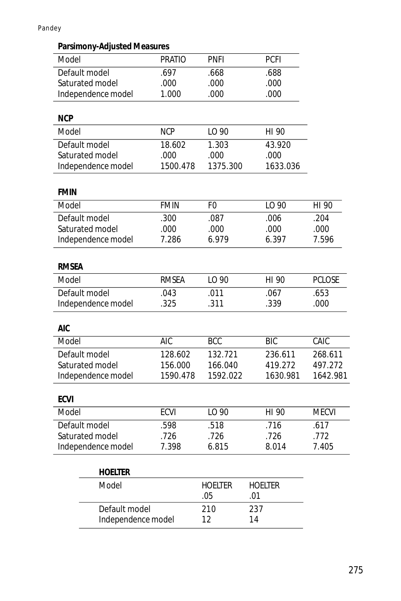Pandey

## **Parsimony-Adjusted Measures**

| Model              | <b>PRATIO</b> | <b>PNFI</b>    | <b>PCFI</b>    |               |
|--------------------|---------------|----------------|----------------|---------------|
| Default model      | .697          | .668           | .688           |               |
| Saturated model    | .000          | .000           | .000           |               |
| Independence model | 1.000         | .000           | .000           |               |
| <b>NCP</b>         |               |                |                |               |
| Model              | <b>NCP</b>    | LO 90          | HI 90          |               |
| Default model      | 18.602        | 1.303          | 43.920         |               |
| Saturated model    | .000          | .000           | .000           |               |
| Independence model | 1500.478      | 1375.300       | 1633.036       |               |
|                    |               |                |                |               |
| <b>FMIN</b>        |               |                |                |               |
| Model              | <b>FMIN</b>   | F <sub>0</sub> | LO 90          | HI 90         |
| Default model      | .300          | .087           | .006           | .204          |
| Saturated model    | .000          | .000           | .000           | .000          |
| Independence model | 7.286         | 6.979          | 6.397          | 7.596         |
|                    |               |                |                |               |
| <b>RMSEA</b>       |               |                |                |               |
| Model              | <b>RMSEA</b>  | LO 90          | HI 90          | <b>PCLOSE</b> |
| Default model      | .043          | .011           | .067           | .653          |
| Independence model | .325          | .311           | .339           | .000          |
|                    |               |                |                |               |
| <b>AIC</b>         |               |                |                |               |
| Model              | <b>AIC</b>    | <b>BCC</b>     | <b>BIC</b>     | CAIC          |
| Default model      | 128.602       | 132.721        | 236.611        | 268.611       |
| Saturated model    | 156.000       | 166.040        | 419.272        | 497.272       |
| Independence model | 1590.478      | 1592.022       | 1630.981       | 1642.981      |
| <b>ECVI</b>        |               |                |                |               |
| Model              | <b>ECVI</b>   | LO 90          | HI 90          | <b>MECVI</b>  |
| Default model      | .598          | .518           | .716           | .617          |
| Saturated model    | .726          | .726           | .726           | .772          |
| Independence model | 7.398         | 6.815          | 8.014          | 7.405         |
|                    |               |                |                |               |
| <b>HOELTER</b>     |               |                |                |               |
| Model              |               | <b>HOELTER</b> | <b>HOELTER</b> |               |
|                    |               | .05            | .01            |               |
| Default model      |               | 210            | 237            |               |
| Independence model |               | 12             | 14             |               |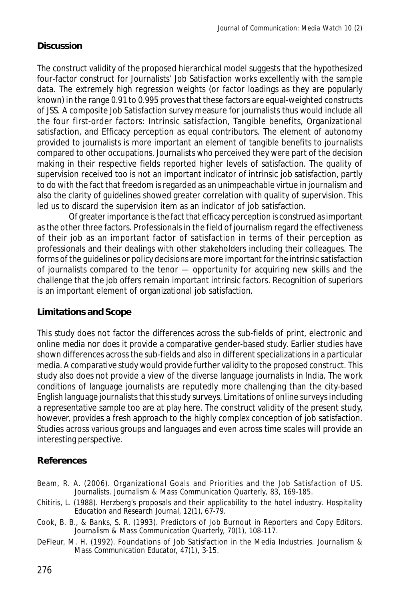## **Discussion**

The construct validity of the proposed hierarchical model suggests that the hypothesized four-factor construct for Journalists' Job Satisfaction works excellently with the sample data. The extremely high regression weights (or factor loadings as they are popularly known) in the range 0.91 to 0.995 proves that these factors are equal-weighted constructs of JSS. A composite Job Satisfaction survey measure for journalists thus would include all the four first-order factors: Intrinsic satisfaction, Tangible benefits, Organizational satisfaction, and Efficacy perception as equal contributors. The element of autonomy provided to journalists is more important an element of tangible benefits to journalists compared to other occupations. Journalists who perceived they were part of the decision making in their respective fields reported higher levels of satisfaction. The quality of supervision received too is not an important indicator of intrinsic job satisfaction, partly to do with the fact that freedom is regarded as an unimpeachable virtue in journalism and also the clarity of guidelines showed greater correlation with quality of supervision. This led us to discard the supervision item as an indicator of job satisfaction.

Of greater importance is the fact that efficacy perception is construed as important as the other three factors. Professionals in the field of journalism regard the effectiveness of their job as an important factor of satisfaction in terms of their perception as professionals and their dealings with other stakeholders including their colleagues. The forms of the guidelines or policy decisions are more important for the intrinsic satisfaction of journalists compared to the tenor — opportunity for acquiring new skills and the challenge that the job offers remain important intrinsic factors. Recognition of superiors is an important element of organizational job satisfaction.

### **Limitations and Scope**

This study does not factor the differences across the sub-fields of print, electronic and online media nor does it provide a comparative gender-based study. Earlier studies have shown differences across the sub-fields and also in different specializations in a particular media. A comparative study would provide further validity to the proposed construct. This study also does not provide a view of the diverse language journalists in India. The work conditions of language journalists are reputedly more challenging than the city-based English language journalists that this study surveys. Limitations of online surveys including a representative sample too are at play here. The construct validity of the present study, however, provides a fresh approach to the highly complex conception of job satisfaction. Studies across various groups and languages and even across time scales will provide an interesting perspective.

## **References**

- Beam, R. A. (2006). Organizational Goals and Priorities and the Job Satisfaction of US. Journalists. *Journalism & Mass Communication Quarterly, 83*, 169-185.
- Chitiris, L. (1988). Herzberg's proposals and their applicability to the hotel industry. *Hospitality Education and Research Journal, 12*(1), 67-79.
- Cook, B. B., & Banks, S. R. (1993). Predictors of Job Burnout in Reporters and Copy Editors. *Journalism & Mass Communication Quarterly, 70*(1), 108-117.
- DeFleur, M. H. (1992). Foundations of Job Satisfaction in the Media Industries. *Journalism & Mass Communication Educator, 47*(1), 3-15.